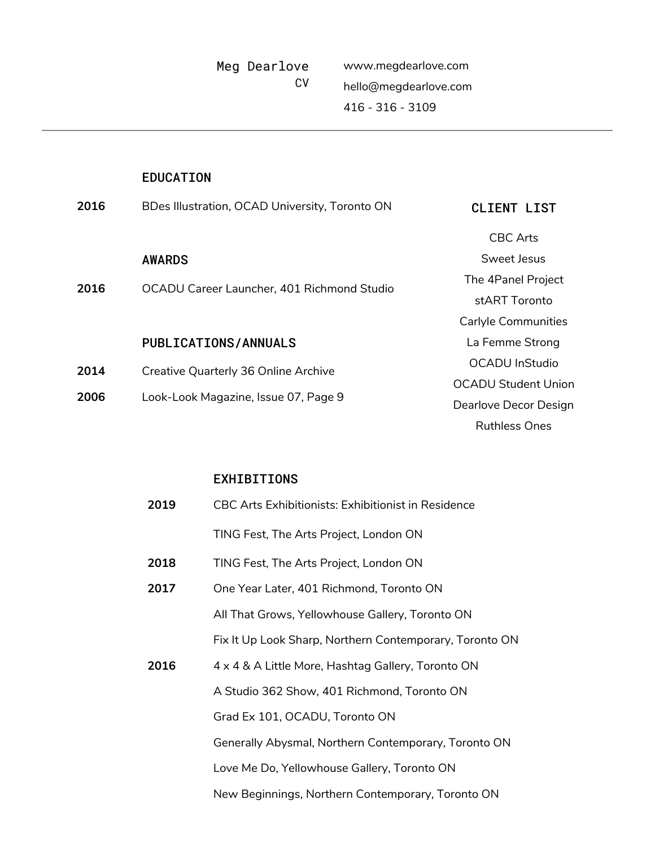www.megdearlove.com hello@megdearlove.com 416 - 316 - 3109

## EDUCATION

| 2016         | BDes Illustration, OCAD University, Toronto ON                               | CLIENT LIST           |
|--------------|------------------------------------------------------------------------------|-----------------------|
|              |                                                                              | CBC Arts              |
|              | <b>AWARDS</b>                                                                | Sweet Jesus           |
| 2016         | OCADU Career Launcher, 401 Richmond Studio                                   | The 4Panel Project    |
|              |                                                                              | stART Toronto         |
|              |                                                                              | Carlyle Communities   |
|              | PUBLICATIONS/ANNUALS                                                         | La Femme Strong       |
| 2014<br>2006 | Creative Quarterly 36 Online Archive<br>Look-Look Magazine, Issue 07, Page 9 | <b>OCADU</b> InStudio |
|              |                                                                              | OCADU Student Union   |
|              |                                                                              | Dearlove Decor Design |
|              |                                                                              | <b>Ruthless Ones</b>  |
|              |                                                                              |                       |

## EXHIBITIONS

| 2019 | CBC Arts Exhibitionists: Exhibitionist in Residence     |  |
|------|---------------------------------------------------------|--|
|      | TING Fest, The Arts Project, London ON                  |  |
| 2018 | TING Fest, The Arts Project, London ON                  |  |
| 2017 | One Year Later, 401 Richmond, Toronto ON                |  |
|      | All That Grows, Yellowhouse Gallery, Toronto ON         |  |
|      | Fix It Up Look Sharp, Northern Contemporary, Toronto ON |  |
| 2016 | 4 x 4 & A Little More, Hashtag Gallery, Toronto ON      |  |
|      | A Studio 362 Show, 401 Richmond, Toronto ON             |  |
|      | Grad Ex 101, OCADU, Toronto ON                          |  |
|      | Generally Abysmal, Northern Contemporary, Toronto ON    |  |
|      | Love Me Do, Yellowhouse Gallery, Toronto ON             |  |
|      | New Beginnings, Northern Contemporary, Toronto ON       |  |